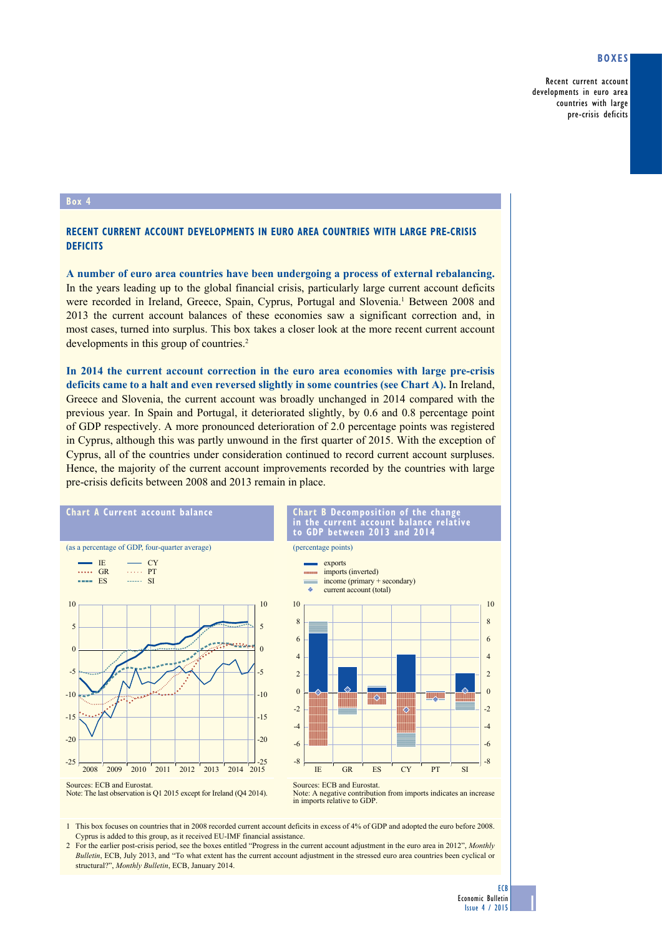## **Boxes**

Recent current account developments in euro area countries with large pre-crisis deficits

## **Box 4**

## **Recent current account developments in euro area countries with large pre-crisis deficits**

**A number of euro area countries have been undergoing a process of external rebalancing.** In the years leading up to the global financial crisis, particularly large current account deficits were recorded in Ireland, Greece, Spain, Cyprus, Portugal and Slovenia.<sup>1</sup> Between 2008 and 2013 the current account balances of these economies saw a significant correction and, in most cases, turned into surplus. This box takes a closer look at the more recent current account developments in this group of countries.<sup>2</sup>

**In 2014 the current account correction in the euro area economies with large pre-crisis deficits came to a halt and even reversed slightly in some countries (see Chart A).** In Ireland, Greece and Slovenia, the current account was broadly unchanged in 2014 compared with the previous year. In Spain and Portugal, it deteriorated slightly, by 0.6 and 0.8 percentage point of GDP respectively. A more pronounced deterioration of 2.0 percentage points was registered in Cyprus, although this was partly unwound in the first quarter of 2015. With the exception of Cyprus, all of the countries under consideration continued to record current account surpluses. Hence, the majority of the current account improvements recorded by the countries with large pre-crisis deficits between 2008 and 2013 remain in place.





**chart B decomposition of the change in the current account balance relative** 

Note: A negative contribution from imports indicates an increase in imports relative to GDP.

1 This box focuses on countries that in 2008 recorded current account deficits in excess of 4% of GDP and adopted the euro before 2008. Cyprus is added to this group, as it received EU-IMF financial assistance.

2 For the earlier post-crisis period, see the boxes entitled "Progress in the current account adjustment in the euro area in 2012", *Monthly Bulletin*, ECB, July 2013, and "To what extent has the current account adjustment in the stressed euro area countries been cyclical or structural?", *Monthly Bulletin*, ECB, January 2014.

1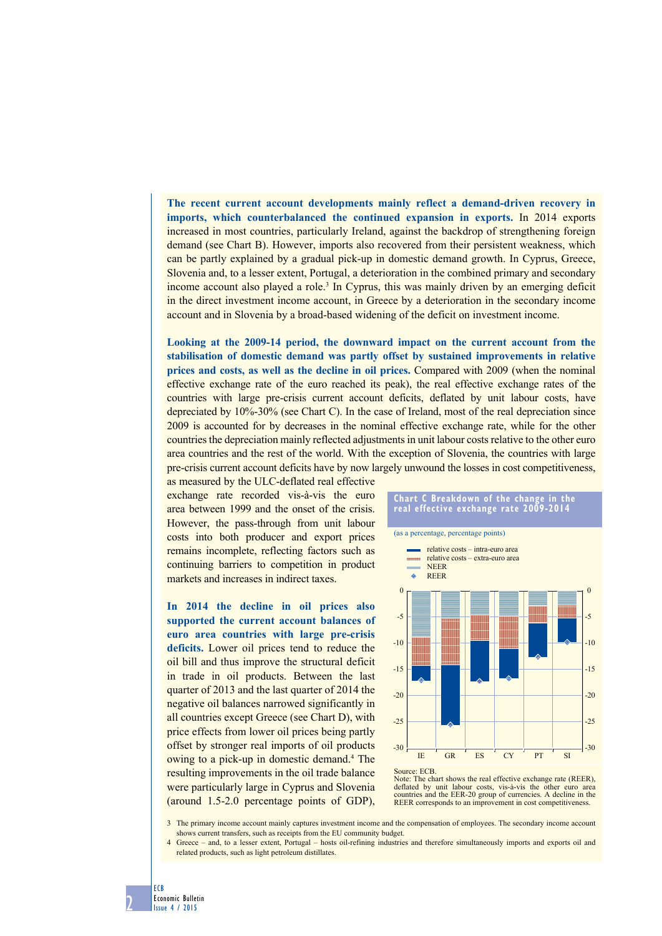**The recent current account developments mainly reflect a demand-driven recovery in imports, which counterbalanced the continued expansion in exports.** In 2014 exports increased in most countries, particularly Ireland, against the backdrop of strengthening foreign demand (see Chart B). However, imports also recovered from their persistent weakness, which can be partly explained by a gradual pick-up in domestic demand growth. In Cyprus, Greece, Slovenia and, to a lesser extent, Portugal, a deterioration in the combined primary and secondary income account also played a role.<sup>3</sup> In Cyprus, this was mainly driven by an emerging deficit in the direct investment income account, in Greece by a deterioration in the secondary income account and in Slovenia by a broad-based widening of the deficit on investment income.

**Looking at the 2009-14 period, the downward impact on the current account from the stabilisation of domestic demand was partly offset by sustained improvements in relative prices and costs, as well as the decline in oil prices.** Compared with 2009 (when the nominal effective exchange rate of the euro reached its peak), the real effective exchange rates of the countries with large pre-crisis current account deficits, deflated by unit labour costs, have depreciated by 10%-30% (see Chart C). In the case of Ireland, most of the real depreciation since 2009 is accounted for by decreases in the nominal effective exchange rate, while for the other countries the depreciation mainly reflected adjustments in unit labour costs relative to the other euro area countries and the rest of the world. With the exception of Slovenia, the countries with large pre-crisis current account deficits have by now largely unwound the losses in cost competitiveness,

as measured by the ULC-deflated real effective exchange rate recorded vis-à-vis the euro area between 1999 and the onset of the crisis. However, the pass-through from unit labour costs into both producer and export prices remains incomplete, reflecting factors such as continuing barriers to competition in product markets and increases in indirect taxes.

**In 2014 the decline in oil prices also supported the current account balances of euro area countries with large pre-crisis deficits.** Lower oil prices tend to reduce the oil bill and thus improve the structural deficit in trade in oil products. Between the last quarter of 2013 and the last quarter of 2014 the negative oil balances narrowed significantly in all countries except Greece (see Chart D), with price effects from lower oil prices being partly offset by stronger real imports of oil products owing to a pick-up in domestic demand.4 The resulting improvements in the oil trade balance were particularly large in Cyprus and Slovenia (around 1.5-2.0 percentage points of GDP),







3 The primary income account mainly captures investment income and the compensation of employees. The secondary income account shows current transfers, such as receipts from the EU community budget.

4 Greece – and, to a lesser extent, Portugal – hosts oil-refining industries and therefore simultaneously imports and exports oil and related products, such as light petroleum distillates.

2